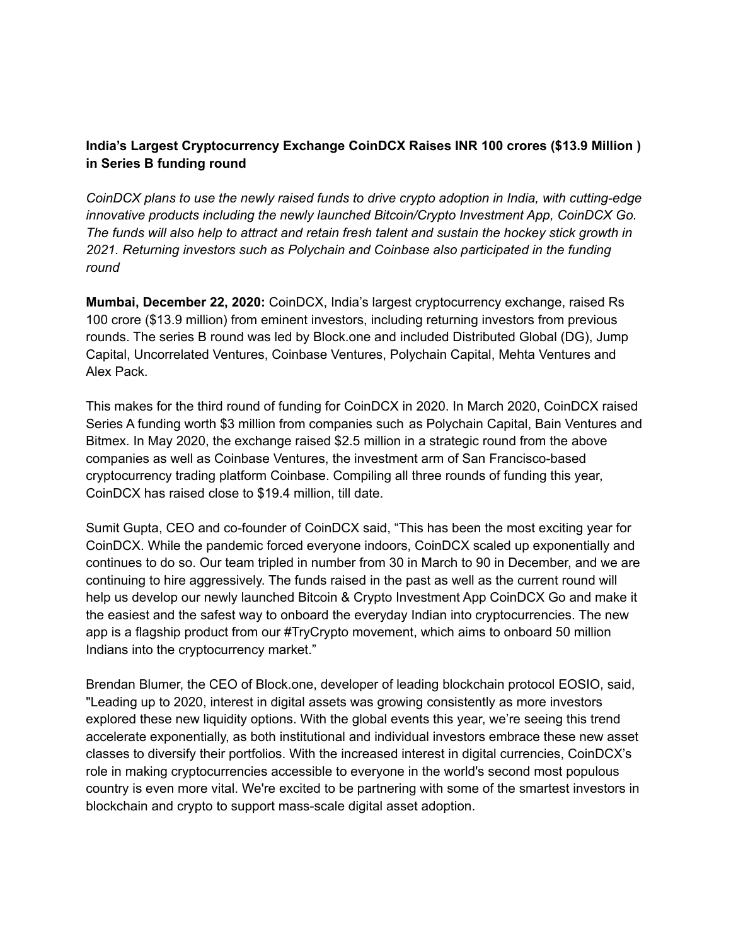# **India's Largest Cryptocurrency Exchange CoinDCX Raises INR 100 crores (\$13.9 Million ) in Series B funding round**

*CoinDCX plans to use the newly raised funds to drive crypto adoption in India, with cutting-edge innovative products including the newly launched Bitcoin/Crypto Investment App, CoinDCX Go. The funds will also help to attract and retain fresh talent and sustain the hockey stick growth in 2021. Returning investors such as Polychain and Coinbase also participated in the funding round*

**Mumbai, December 22, 2020:** CoinDCX, India's largest cryptocurrency exchange, raised Rs 100 crore (\$13.9 million) from eminent investors, including returning investors from previous rounds. The series B round was led by Block.one and included Distributed Global (DG), Jump Capital, Uncorrelated Ventures, Coinbase Ventures, Polychain Capital, Mehta Ventures and Alex Pack.

This makes for the third round of funding for CoinDCX in 2020. In March 2020, CoinDCX raised Series A funding worth \$3 million from companies such as Polychain Capital, Bain Ventures and Bitmex. In May 2020, the exchange raised \$2.5 million in a strategic round from the above companies as well as Coinbase Ventures, the investment arm of San Francisco-based cryptocurrency trading platform Coinbase. Compiling all three rounds of funding this year, CoinDCX has raised close to \$19.4 million, till date.

Sumit Gupta, CEO and co-founder of CoinDCX said, "This has been the most exciting year for CoinDCX. While the pandemic forced everyone indoors, CoinDCX scaled up exponentially and continues to do so. Our team tripled in number from 30 in March to 90 in December, and we are continuing to hire aggressively. The funds raised in the past as well as the current round will help us develop our newly launched Bitcoin & Crypto Investment App CoinDCX Go and make it the easiest and the safest way to onboard the everyday Indian into cryptocurrencies. The new app is a flagship product from our #TryCrypto movement, which aims to onboard 50 million Indians into the cryptocurrency market."

Brendan Blumer, the CEO of Block.one, developer of leading blockchain protocol EOSIO, said, "Leading up to 2020, interest in digital assets was growing consistently as more investors explored these new liquidity options. With the global events this year, we're seeing this trend accelerate exponentially, as both institutional and individual investors embrace these new asset classes to diversify their portfolios. With the increased interest in digital currencies, CoinDCX's role in making cryptocurrencies accessible to everyone in the world's second most populous country is even more vital. We're excited to be partnering with some of the smartest investors in blockchain and crypto to support mass-scale digital asset adoption.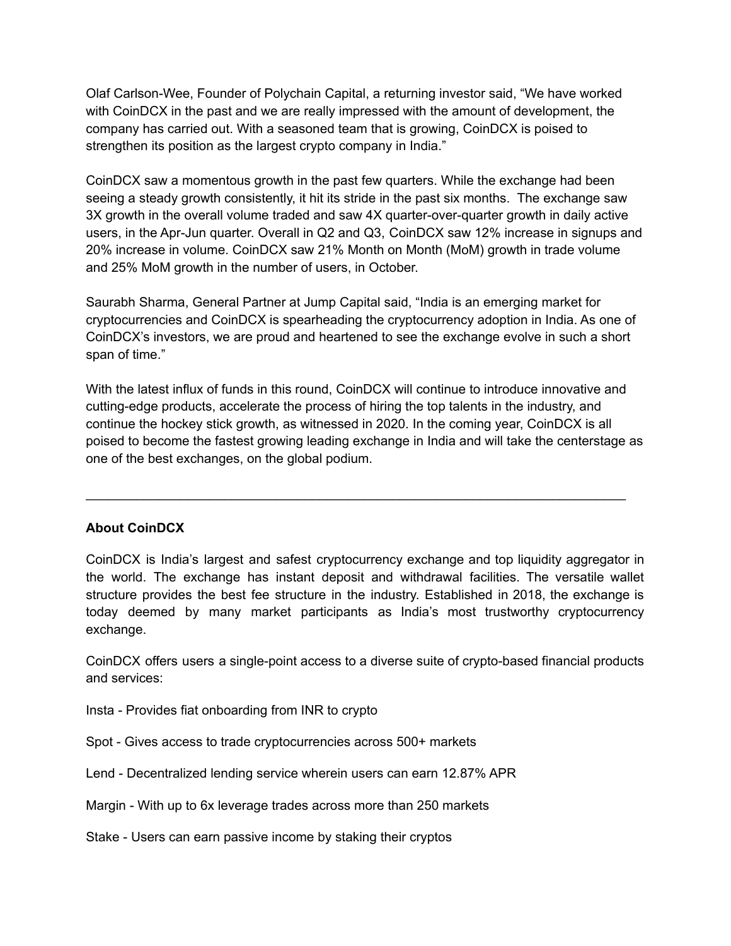Olaf Carlson-Wee, Founder of Polychain Capital, a returning investor said, "We have worked with CoinDCX in the past and we are really impressed with the amount of development, the company has carried out. With a seasoned team that is growing, CoinDCX is poised to strengthen its position as the largest crypto company in India."

CoinDCX saw a momentous growth in the past few quarters. While the exchange had been seeing a steady growth consistently, it hit its stride in the past six months. The exchange saw 3X growth in the overall volume traded and saw 4X quarter-over-quarter growth in daily active users, in the Apr-Jun quarter. Overall in Q2 and Q3, CoinDCX saw 12% increase in signups and 20% increase in volume. CoinDCX saw 21% Month on Month (MoM) growth in trade volume and 25% MoM growth in the number of users, in October.

Saurabh Sharma, General Partner at Jump Capital said, "India is an emerging market for cryptocurrencies and CoinDCX is spearheading the cryptocurrency adoption in India. As one of CoinDCX's investors, we are proud and heartened to see the exchange evolve in such a short span of time."

With the latest influx of funds in this round, CoinDCX will continue to introduce innovative and cutting-edge products, accelerate the process of hiring the top talents in the industry, and continue the hockey stick growth, as witnessed in 2020. In the coming year, CoinDCX is all poised to become the fastest growing leading exchange in India and will take the centerstage as one of the best exchanges, on the global podium.

\_\_\_\_\_\_\_\_\_\_\_\_\_\_\_\_\_\_\_\_\_\_\_\_\_\_\_\_\_\_\_\_\_\_\_\_\_\_\_\_\_\_\_\_\_\_\_\_\_\_\_\_\_\_\_\_\_\_\_\_\_\_\_\_\_\_\_\_\_\_\_\_\_\_

## **About CoinDCX**

CoinDCX is India's largest and safest cryptocurrency exchange and top liquidity aggregator in the world. The exchange has instant deposit and withdrawal facilities. The versatile wallet structure provides the best fee structure in the industry. Established in 2018, the exchange is today deemed by many market participants as India's most trustworthy cryptocurrency exchange.

CoinDCX offers users a single-point access to a diverse suite of crypto-based financial products and services:

Insta - Provides fiat onboarding from INR to crypto

Spot - Gives access to trade cryptocurrencies across 500+ markets

Lend - Decentralized lending service wherein users can earn 12.87% APR

Margin - With up to 6x leverage trades across more than 250 markets

Stake - Users can earn passive income by staking their cryptos